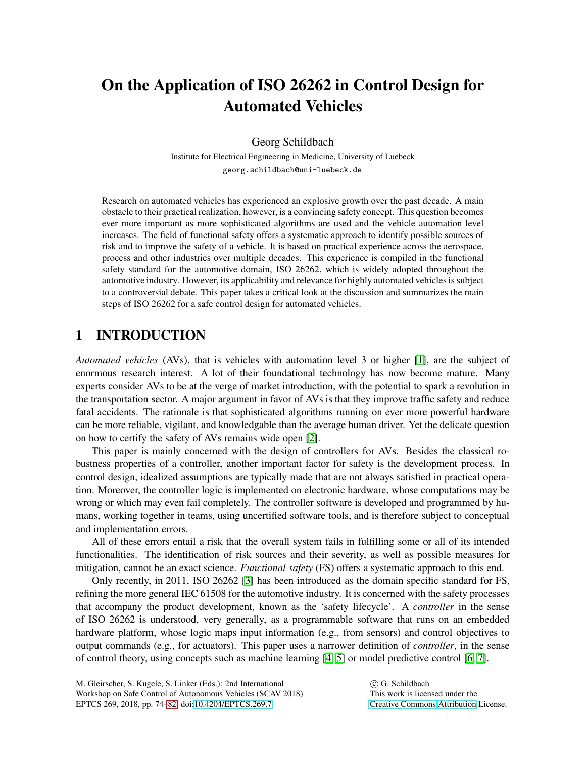# On the Application of ISO 26262 in Control Design for Automated Vehicles

Georg Schildbach

Institute for Electrical Engineering in Medicine, University of Luebeck georg.schildbach@uni-luebeck.de

Research on automated vehicles has experienced an explosive growth over the past decade. A main obstacle to their practical realization, however, is a convincing safety concept. This question becomes ever more important as more sophisticated algorithms are used and the vehicle automation level increases. The field of functional safety offers a systematic approach to identify possible sources of risk and to improve the safety of a vehicle. It is based on practical experience across the aerospace, process and other industries over multiple decades. This experience is compiled in the functional safety standard for the automotive domain, ISO 26262, which is widely adopted throughout the automotive industry. However, its applicability and relevance for highly automated vehicles is subject to a controversial debate. This paper takes a critical look at the discussion and summarizes the main steps of ISO 26262 for a safe control design for automated vehicles.

# 1 INTRODUCTION

*Automated vehicles* (AVs), that is vehicles with automation level 3 or higher [\[1\]](#page-7-0), are the subject of enormous research interest. A lot of their foundational technology has now become mature. Many experts consider AVs to be at the verge of market introduction, with the potential to spark a revolution in the transportation sector. A major argument in favor of AVs is that they improve traffic safety and reduce fatal accidents. The rationale is that sophisticated algorithms running on ever more powerful hardware can be more reliable, vigilant, and knowledgable than the average human driver. Yet the delicate question on how to certify the safety of AVs remains wide open [\[2\]](#page-7-1).

This paper is mainly concerned with the design of controllers for AVs. Besides the classical robustness properties of a controller, another important factor for safety is the development process. In control design, idealized assumptions are typically made that are not always satisfied in practical operation. Moreover, the controller logic is implemented on electronic hardware, whose computations may be wrong or which may even fail completely. The controller software is developed and programmed by humans, working together in teams, using uncertified software tools, and is therefore subject to conceptual and implementation errors.

All of these errors entail a risk that the overall system fails in fulfilling some or all of its intended functionalities. The identification of risk sources and their severity, as well as possible measures for mitigation, cannot be an exact science. *Functional safety* (FS) offers a systematic approach to this end.

Only recently, in 2011, ISO 26262 [\[3\]](#page-7-2) has been introduced as the domain specific standard for FS, refining the more general IEC 61508 for the automotive industry. It is concerned with the safety processes that accompany the product development, known as the 'safety lifecycle'. A *controller* in the sense of ISO 26262 is understood, very generally, as a programmable software that runs on an embedded hardware platform, whose logic maps input information (e.g., from sensors) and control objectives to output commands (e.g., for actuators). This paper uses a narrower definition of *controller*, in the sense of control theory, using concepts such as machine learning [\[4,](#page-7-3) [5\]](#page-7-4) or model predictive control [\[6,](#page-7-5) [7\]](#page-7-6).

 $(c)$  G. Schildbach This work is licensed under the [Creative Commons](http://creativecommons.org) [Attribution](http://creativecommons.org/licenses/by/3.0/) License.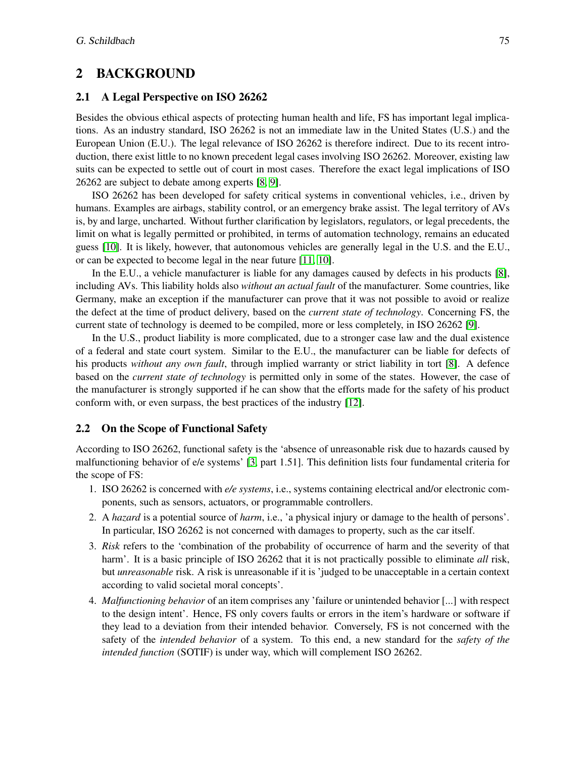# 2 BACKGROUND

## 2.1 A Legal Perspective on ISO 26262

Besides the obvious ethical aspects of protecting human health and life, FS has important legal implications. As an industry standard, ISO 26262 is not an immediate law in the United States (U.S.) and the European Union (E.U.). The legal relevance of ISO 26262 is therefore indirect. Due to its recent introduction, there exist little to no known precedent legal cases involving ISO 26262. Moreover, existing law suits can be expected to settle out of court in most cases. Therefore the exact legal implications of ISO 26262 are subject to debate among experts [\[8,](#page-7-7) [9\]](#page-7-8).

ISO 26262 has been developed for safety critical systems in conventional vehicles, i.e., driven by humans. Examples are airbags, stability control, or an emergency brake assist. The legal territory of AVs is, by and large, uncharted. Without further clarification by legislators, regulators, or legal precedents, the limit on what is legally permitted or prohibited, in terms of automation technology, remains an educated guess [\[10\]](#page-7-9). It is likely, however, that autonomous vehicles are generally legal in the U.S. and the E.U., or can be expected to become legal in the near future [\[11,](#page-7-10) [10\]](#page-7-9).

In the E.U., a vehicle manufacturer is liable for any damages caused by defects in his products [\[8\]](#page-7-7), including AVs. This liability holds also *without an actual fault* of the manufacturer. Some countries, like Germany, make an exception if the manufacturer can prove that it was not possible to avoid or realize the defect at the time of product delivery, based on the *current state of technology*. Concerning FS, the current state of technology is deemed to be compiled, more or less completely, in ISO 26262 [\[9\]](#page-7-8).

In the U.S., product liability is more complicated, due to a stronger case law and the dual existence of a federal and state court system. Similar to the E.U., the manufacturer can be liable for defects of his products *without any own fault*, through implied warranty or strict liability in tort [\[8\]](#page-7-7). A defence based on the *current state of technology* is permitted only in some of the states. However, the case of the manufacturer is strongly supported if he can show that the efforts made for the safety of his product conform with, or even surpass, the best practices of the industry [\[12\]](#page-7-11).

#### 2.2 On the Scope of Functional Safety

According to ISO 26262, functional safety is the 'absence of unreasonable risk due to hazards caused by malfunctioning behavior of e/e systems' [\[3,](#page-7-2) part 1.51]. This definition lists four fundamental criteria for the scope of FS:

- 1. ISO 26262 is concerned with *e/e systems*, i.e., systems containing electrical and/or electronic components, such as sensors, actuators, or programmable controllers.
- 2. A *hazard* is a potential source of *harm*, i.e., 'a physical injury or damage to the health of persons'. In particular, ISO 26262 is not concerned with damages to property, such as the car itself.
- 3. *Risk* refers to the 'combination of the probability of occurrence of harm and the severity of that harm'. It is a basic principle of ISO 26262 that it is not practically possible to eliminate *all* risk, but *unreasonable* risk. A risk is unreasonable if it is 'judged to be unacceptable in a certain context according to valid societal moral concepts'.
- 4. *Malfunctioning behavior* of an item comprises any 'failure or unintended behavior [...] with respect to the design intent'. Hence, FS only covers faults or errors in the item's hardware or software if they lead to a deviation from their intended behavior. Conversely, FS is not concerned with the safety of the *intended behavior* of a system. To this end, a new standard for the *safety of the intended function* (SOTIF) is under way, which will complement ISO 26262.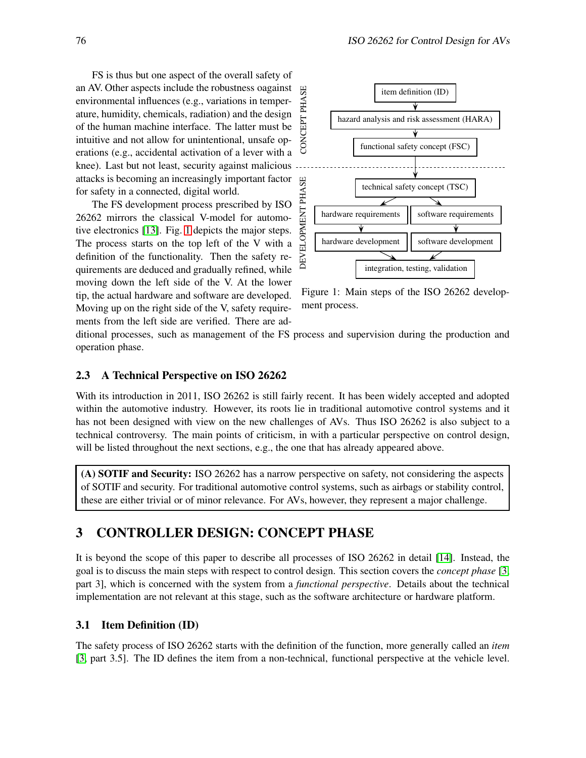FS is thus but one aspect of the overall safety of an AV. Other aspects include the robustness oagainst environmental influences (e.g., variations in temperature, humidity, chemicals, radiation) and the design of the human machine interface. The latter must be intuitive and not allow for unintentional, unsafe operations (e.g., accidental activation of a lever with a knee). Last but not least, security against malicious attacks is becoming an increasingly important factor for safety in a connected, digital world.

The FS development process prescribed by ISO 26262 mirrors the classical V-model for automotive electronics [\[13\]](#page-7-12). Fig. [1](#page-2-0) depicts the major steps. The process starts on the top left of the V with a definition of the functionality. Then the safety requirements are deduced and gradually refined, while moving down the left side of the V. At the lower tip, the actual hardware and software are developed. Moving up on the right side of the V, safety requirements from the left side are verified. There are ad-

<span id="page-2-0"></span>

Figure 1: Main steps of the ISO 26262 development process.

ditional processes, such as management of the FS process and supervision during the production and operation phase.

## 2.3 A Technical Perspective on ISO 26262

With its introduction in 2011, ISO 26262 is still fairly recent. It has been widely accepted and adopted within the automotive industry. However, its roots lie in traditional automotive control systems and it has not been designed with view on the new challenges of AVs. Thus ISO 26262 is also subject to a technical controversy. The main points of criticism, in with a particular perspective on control design, will be listed throughout the next sections, e.g., the one that has already appeared above.

(A) SOTIF and Security: ISO 26262 has a narrow perspective on safety, not considering the aspects of SOTIF and security. For traditional automotive control systems, such as airbags or stability control, these are either trivial or of minor relevance. For AVs, however, they represent a major challenge.

# 3 CONTROLLER DESIGN: CONCEPT PHASE

It is beyond the scope of this paper to describe all processes of ISO 26262 in detail [\[14\]](#page-7-13). Instead, the goal is to discuss the main steps with respect to control design. This section covers the *concept phase* [\[3,](#page-7-2) part 3], which is concerned with the system from a *functional perspective*. Details about the technical implementation are not relevant at this stage, such as the software architecture or hardware platform.

#### 3.1 Item Definition (ID)

The safety process of ISO 26262 starts with the definition of the function, more generally called an *item* [\[3,](#page-7-2) part 3.5]. The ID defines the item from a non-technical, functional perspective at the vehicle level.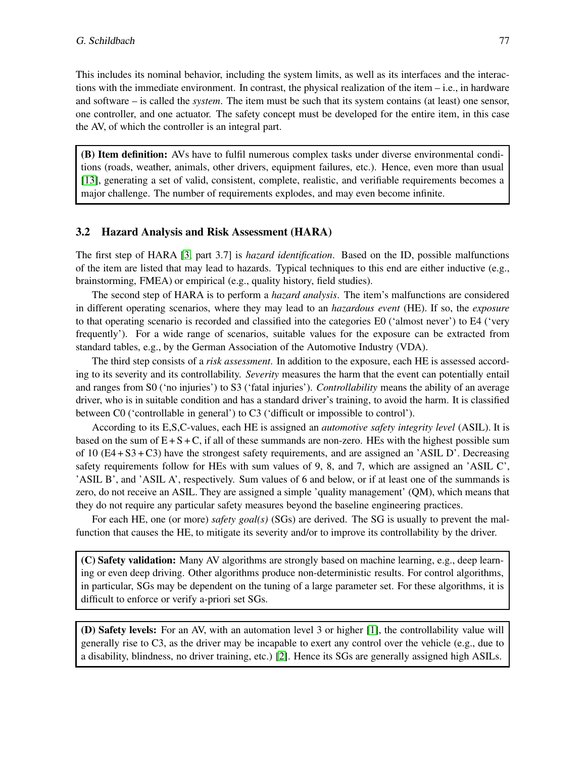This includes its nominal behavior, including the system limits, as well as its interfaces and the interactions with the immediate environment. In contrast, the physical realization of the item  $-i.e.,$  in hardware and software – is called the *system*. The item must be such that its system contains (at least) one sensor, one controller, and one actuator. The safety concept must be developed for the entire item, in this case the AV, of which the controller is an integral part.

(B) Item definition: AVs have to fulfil numerous complex tasks under diverse environmental conditions (roads, weather, animals, other drivers, equipment failures, etc.). Hence, even more than usual [\[13\]](#page-7-12), generating a set of valid, consistent, complete, realistic, and verifiable requirements becomes a major challenge. The number of requirements explodes, and may even become infinite.

## 3.2 Hazard Analysis and Risk Assessment (HARA)

The first step of HARA [\[3,](#page-7-2) part 3.7] is *hazard identification*. Based on the ID, possible malfunctions of the item are listed that may lead to hazards. Typical techniques to this end are either inductive (e.g., brainstorming, FMEA) or empirical (e.g., quality history, field studies).

The second step of HARA is to perform a *hazard analysis*. The item's malfunctions are considered in different operating scenarios, where they may lead to an *hazardous event* (HE). If so, the *exposure* to that operating scenario is recorded and classified into the categories E0 ('almost never') to E4 ('very frequently'). For a wide range of scenarios, suitable values for the exposure can be extracted from standard tables, e.g., by the German Association of the Automotive Industry (VDA).

The third step consists of a *risk assessment*. In addition to the exposure, each HE is assessed according to its severity and its controllability. *Severity* measures the harm that the event can potentially entail and ranges from S0 ('no injuries') to S3 ('fatal injuries'). *Controllability* means the ability of an average driver, who is in suitable condition and has a standard driver's training, to avoid the harm. It is classified between C0 ('controllable in general') to C3 ('difficult or impossible to control').

According to its E,S,C-values, each HE is assigned an *automotive safety integrity level* (ASIL). It is based on the sum of  $E + S + C$ , if all of these summands are non-zero. HEs with the highest possible sum of  $10$  (E4 + S3 + C3) have the strongest safety requirements, and are assigned an 'ASIL D'. Decreasing safety requirements follow for HEs with sum values of 9, 8, and 7, which are assigned an 'ASIL C', 'ASIL B', and 'ASIL A', respectively. Sum values of 6 and below, or if at least one of the summands is zero, do not receive an ASIL. They are assigned a simple 'quality management' (QM), which means that they do not require any particular safety measures beyond the baseline engineering practices.

For each HE, one (or more) *safety goal(s)* (SGs) are derived. The SG is usually to prevent the malfunction that causes the HE, to mitigate its severity and/or to improve its controllability by the driver.

(C) Safety validation: Many AV algorithms are strongly based on machine learning, e.g., deep learning or even deep driving. Other algorithms produce non-deterministic results. For control algorithms, in particular, SGs may be dependent on the tuning of a large parameter set. For these algorithms, it is difficult to enforce or verify a-priori set SGs.

(D) Safety levels: For an AV, with an automation level 3 or higher [\[1\]](#page-7-0), the controllability value will generally rise to C3, as the driver may be incapable to exert any control over the vehicle (e.g., due to a disability, blindness, no driver training, etc.) [\[2\]](#page-7-1). Hence its SGs are generally assigned high ASILs.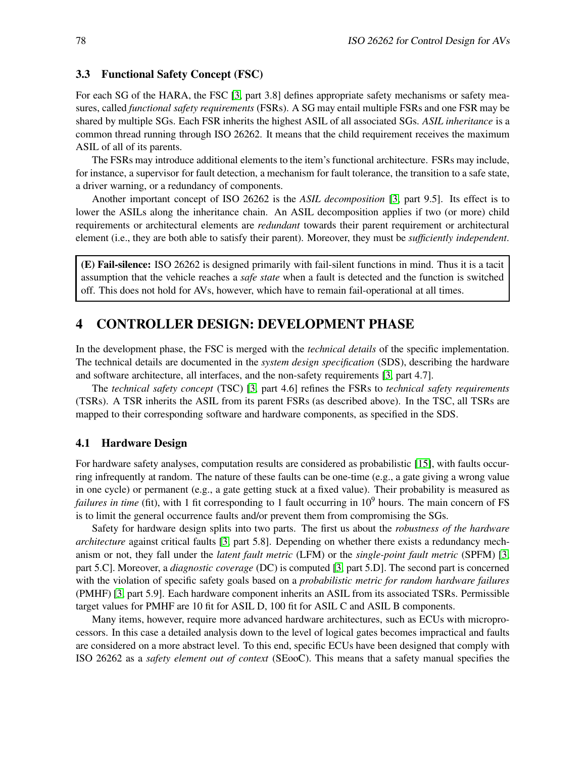#### 3.3 Functional Safety Concept (FSC)

For each SG of the HARA, the FSC [\[3,](#page-7-2) part 3.8] defines appropriate safety mechanisms or safety measures, called *functional safety requirements* (FSRs). A SG may entail multiple FSRs and one FSR may be shared by multiple SGs. Each FSR inherits the highest ASIL of all associated SGs. *ASIL inheritance* is a common thread running through ISO 26262. It means that the child requirement receives the maximum ASIL of all of its parents.

The FSRs may introduce additional elements to the item's functional architecture. FSRs may include, for instance, a supervisor for fault detection, a mechanism for fault tolerance, the transition to a safe state, a driver warning, or a redundancy of components.

Another important concept of ISO 26262 is the *ASIL decomposition* [\[3,](#page-7-2) part 9.5]. Its effect is to lower the ASILs along the inheritance chain. An ASIL decomposition applies if two (or more) child requirements or architectural elements are *redundant* towards their parent requirement or architectural element (i.e., they are both able to satisfy their parent). Moreover, they must be *sufficiently independent*.

(E) Fail-silence: ISO 26262 is designed primarily with fail-silent functions in mind. Thus it is a tacit assumption that the vehicle reaches a *safe state* when a fault is detected and the function is switched off. This does not hold for AVs, however, which have to remain fail-operational at all times.

## 4 CONTROLLER DESIGN: DEVELOPMENT PHASE

In the development phase, the FSC is merged with the *technical details* of the specific implementation. The technical details are documented in the *system design specification* (SDS), describing the hardware and software architecture, all interfaces, and the non-safety requirements [\[3,](#page-7-2) part 4.7].

The *technical safety concept* (TSC) [\[3,](#page-7-2) part 4.6] refines the FSRs to *technical safety requirements* (TSRs). A TSR inherits the ASIL from its parent FSRs (as described above). In the TSC, all TSRs are mapped to their corresponding software and hardware components, as specified in the SDS.

#### 4.1 Hardware Design

For hardware safety analyses, computation results are considered as probabilistic [\[15\]](#page-7-14), with faults occurring infrequently at random. The nature of these faults can be one-time (e.g., a gate giving a wrong value in one cycle) or permanent (e.g., a gate getting stuck at a fixed value). Their probability is measured as *failures in time* (fit), with 1 fit corresponding to 1 fault occurring in 10<sup>9</sup> hours. The main concern of FS is to limit the general occurrence faults and/or prevent them from compromising the SGs.

Safety for hardware design splits into two parts. The first us about the *robustness of the hardware architecture* against critical faults [\[3,](#page-7-2) part 5.8]. Depending on whether there exists a redundancy mechanism or not, they fall under the *latent fault metric* (LFM) or the *single-point fault metric* (SPFM) [\[3,](#page-7-2) part 5.C]. Moreover, a *diagnostic coverage* (DC) is computed [\[3,](#page-7-2) part 5.D]. The second part is concerned with the violation of specific safety goals based on a *probabilistic metric for random hardware failures* (PMHF) [\[3,](#page-7-2) part 5.9]. Each hardware component inherits an ASIL from its associated TSRs. Permissible target values for PMHF are 10 fit for ASIL D, 100 fit for ASIL C and ASIL B components.

Many items, however, require more advanced hardware architectures, such as ECUs with microprocessors. In this case a detailed analysis down to the level of logical gates becomes impractical and faults are considered on a more abstract level. To this end, specific ECUs have been designed that comply with ISO 26262 as a *safety element out of context* (SEooC). This means that a safety manual specifies the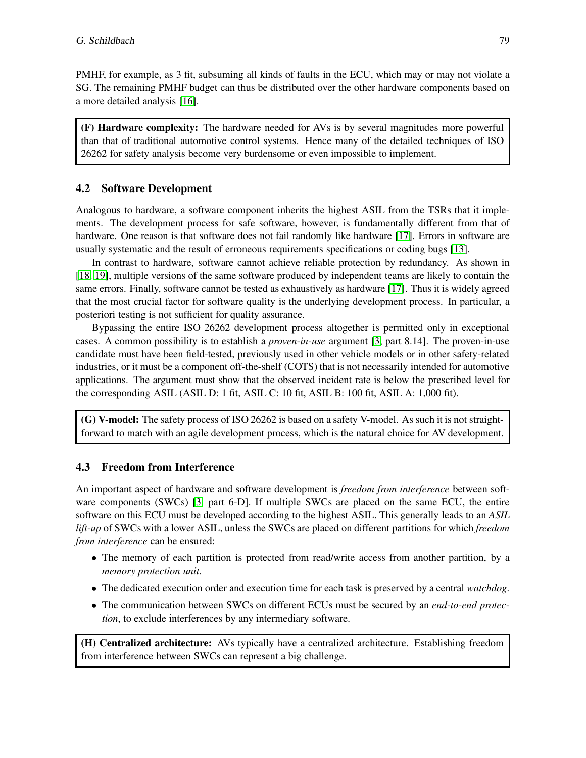PMHF, for example, as 3 fit, subsuming all kinds of faults in the ECU, which may or may not violate a SG. The remaining PMHF budget can thus be distributed over the other hardware components based on a more detailed analysis [\[16\]](#page-7-15).

(F) Hardware complexity: The hardware needed for AVs is by several magnitudes more powerful than that of traditional automotive control systems. Hence many of the detailed techniques of ISO 26262 for safety analysis become very burdensome or even impossible to implement.

## 4.2 Software Development

Analogous to hardware, a software component inherits the highest ASIL from the TSRs that it implements. The development process for safe software, however, is fundamentally different from that of hardware. One reason is that software does not fail randomly like hardware [\[17\]](#page-7-16). Errors in software are usually systematic and the result of erroneous requirements specifications or coding bugs [\[13\]](#page-7-12).

In contrast to hardware, software cannot achieve reliable protection by redundancy. As shown in [\[18,](#page-7-17) [19\]](#page-7-18), multiple versions of the same software produced by independent teams are likely to contain the same errors. Finally, software cannot be tested as exhaustively as hardware [\[17\]](#page-7-16). Thus it is widely agreed that the most crucial factor for software quality is the underlying development process. In particular, a posteriori testing is not sufficient for quality assurance.

Bypassing the entire ISO 26262 development process altogether is permitted only in exceptional cases. A common possibility is to establish a *proven-in-use* argument [\[3,](#page-7-2) part 8.14]. The proven-in-use candidate must have been field-tested, previously used in other vehicle models or in other safety-related industries, or it must be a component off-the-shelf (COTS) that is not necessarily intended for automotive applications. The argument must show that the observed incident rate is below the prescribed level for the corresponding ASIL (ASIL D: 1 fit, ASIL C: 10 fit, ASIL B: 100 fit, ASIL A: 1,000 fit).

(G) V-model: The safety process of ISO 26262 is based on a safety V-model. As such it is not straightforward to match with an agile development process, which is the natural choice for AV development.

## 4.3 Freedom from Interference

An important aspect of hardware and software development is *freedom from interference* between software components (SWCs) [\[3,](#page-7-2) part 6-D]. If multiple SWCs are placed on the same ECU, the entire software on this ECU must be developed according to the highest ASIL. This generally leads to an *ASIL lift-up* of SWCs with a lower ASIL, unless the SWCs are placed on different partitions for which *freedom from interference* can be ensured:

- The memory of each partition is protected from read/write access from another partition, by a *memory protection unit*.
- The dedicated execution order and execution time for each task is preserved by a central *watchdog*.
- The communication between SWCs on different ECUs must be secured by an *end-to-end protection*, to exclude interferences by any intermediary software.

(H) Centralized architecture: AVs typically have a centralized architecture. Establishing freedom from interference between SWCs can represent a big challenge.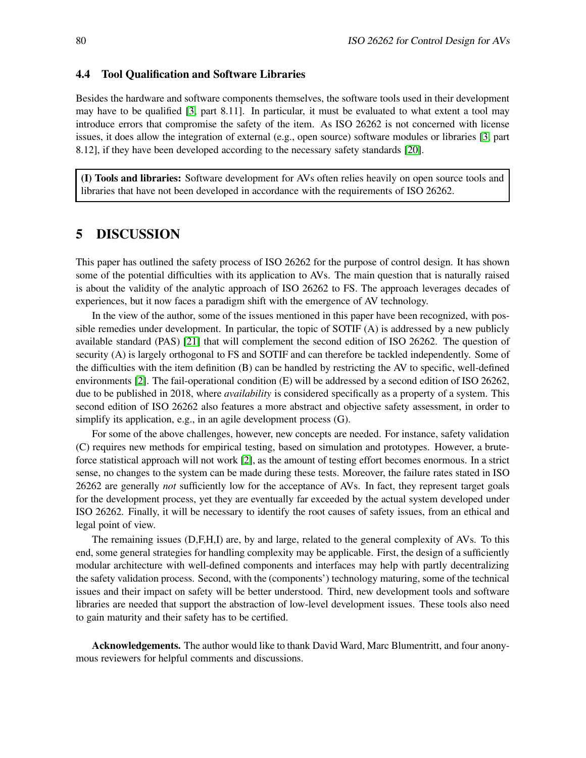### 4.4 Tool Qualification and Software Libraries

Besides the hardware and software components themselves, the software tools used in their development may have to be qualified [\[3,](#page-7-2) part 8.11]. In particular, it must be evaluated to what extent a tool may introduce errors that compromise the safety of the item. As ISO 26262 is not concerned with license issues, it does allow the integration of external (e.g., open source) software modules or libraries [\[3,](#page-7-2) part 8.12], if they have been developed according to the necessary safety standards [\[20\]](#page-8-1).

(I) Tools and libraries: Software development for AVs often relies heavily on open source tools and libraries that have not been developed in accordance with the requirements of ISO 26262.

## 5 DISCUSSION

This paper has outlined the safety process of ISO 26262 for the purpose of control design. It has shown some of the potential difficulties with its application to AVs. The main question that is naturally raised is about the validity of the analytic approach of ISO 26262 to FS. The approach leverages decades of experiences, but it now faces a paradigm shift with the emergence of AV technology.

In the view of the author, some of the issues mentioned in this paper have been recognized, with possible remedies under development. In particular, the topic of SOTIF (A) is addressed by a new publicly available standard (PAS) [\[21\]](#page-8-2) that will complement the second edition of ISO 26262. The question of security (A) is largely orthogonal to FS and SOTIF and can therefore be tackled independently. Some of the difficulties with the item definition (B) can be handled by restricting the AV to specific, well-defined environments [\[2\]](#page-7-1). The fail-operational condition (E) will be addressed by a second edition of ISO 26262, due to be published in 2018, where *availability* is considered specifically as a property of a system. This second edition of ISO 26262 also features a more abstract and objective safety assessment, in order to simplify its application, e.g., in an agile development process (G).

For some of the above challenges, however, new concepts are needed. For instance, safety validation (C) requires new methods for empirical testing, based on simulation and prototypes. However, a bruteforce statistical approach will not work [\[2\]](#page-7-1), as the amount of testing effort becomes enormous. In a strict sense, no changes to the system can be made during these tests. Moreover, the failure rates stated in ISO 26262 are generally *not* sufficiently low for the acceptance of AVs. In fact, they represent target goals for the development process, yet they are eventually far exceeded by the actual system developed under ISO 26262. Finally, it will be necessary to identify the root causes of safety issues, from an ethical and legal point of view.

The remaining issues (D,F,H,I) are, by and large, related to the general complexity of AVs. To this end, some general strategies for handling complexity may be applicable. First, the design of a sufficiently modular architecture with well-defined components and interfaces may help with partly decentralizing the safety validation process. Second, with the (components') technology maturing, some of the technical issues and their impact on safety will be better understood. Third, new development tools and software libraries are needed that support the abstraction of low-level development issues. These tools also need to gain maturity and their safety has to be certified.

Acknowledgements. The author would like to thank David Ward, Marc Blumentritt, and four anonymous reviewers for helpful comments and discussions.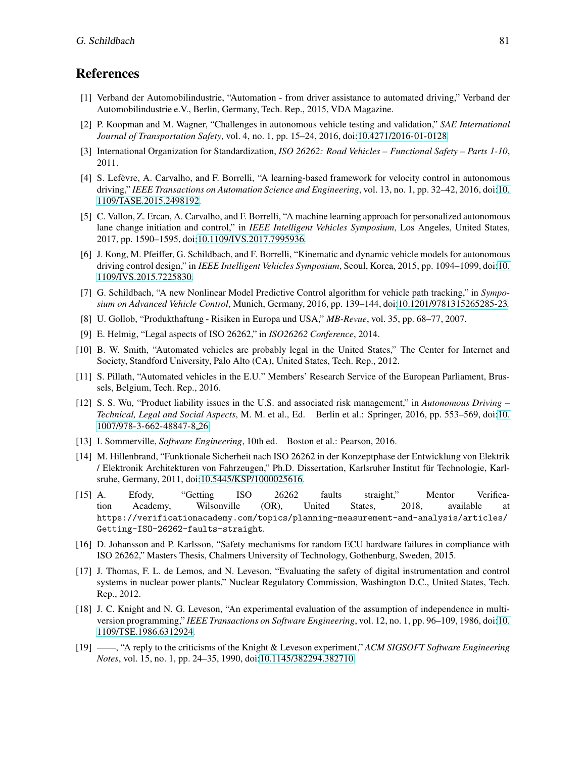## <span id="page-7-0"></span>References

- [1] Verband der Automobilindustrie, "Automation from driver assistance to automated driving," Verband der Automobilindustrie e.V., Berlin, Germany, Tech. Rep., 2015, VDA Magazine.
- <span id="page-7-1"></span>[2] P. Koopman and M. Wagner, "Challenges in autonomous vehicle testing and validation," *SAE International Journal of Transportation Safety*, vol. 4, no. 1, pp. 15–24, 2016, doi[:10.4271/2016-01-0128.](http://dx.doi.org/10.4271/2016-01-0128)
- <span id="page-7-2"></span>[3] International Organization for Standardization, *ISO 26262: Road Vehicles – Functional Safety – Parts 1-10*, 2011.
- <span id="page-7-3"></span>[4] S. Lefèvre, A. Carvalho, and F. Borrelli, "A learning-based framework for velocity control in autonomous driving," *IEEE Transactions on Automation Science and Engineering*, vol. 13, no. 1, pp. 32–42, 2016, doi[:10.](http://dx.doi.org/10.1109/TASE.2015.2498192) [1109/TASE.2015.2498192.](http://dx.doi.org/10.1109/TASE.2015.2498192)
- <span id="page-7-4"></span>[5] C. Vallon, Z. Ercan, A. Carvalho, and F. Borrelli, "A machine learning approach for personalized autonomous lane change initiation and control," in *IEEE Intelligent Vehicles Symposium*, Los Angeles, United States, 2017, pp. 1590–1595, doi[:10.1109/IVS.2017.7995936.](http://dx.doi.org/10.1109/IVS.2017.7995936)
- <span id="page-7-5"></span>[6] J. Kong, M. Pfeiffer, G. Schildbach, and F. Borrelli, "Kinematic and dynamic vehicle models for autonomous driving control design," in *IEEE Intelligent Vehicles Symposium*, Seoul, Korea, 2015, pp. 1094–1099, doi[:10.](http://dx.doi.org/10.1109/IVS.2015.7225830) [1109/IVS.2015.7225830.](http://dx.doi.org/10.1109/IVS.2015.7225830)
- <span id="page-7-6"></span>[7] G. Schildbach, "A new Nonlinear Model Predictive Control algorithm for vehicle path tracking," in *Symposium on Advanced Vehicle Control*, Munich, Germany, 2016, pp. 139–144, doi[:10.1201/9781315265285-23.](http://dx.doi.org/10.1201/9781315265285-23)
- <span id="page-7-8"></span><span id="page-7-7"></span>[8] U. Gollob, "Produkthaftung - Risiken in Europa und USA," *MB-Revue*, vol. 35, pp. 68–77, 2007.
- <span id="page-7-9"></span>[9] E. Helmig, "Legal aspects of ISO 26262," in *ISO26262 Conference*, 2014.
- [10] B. W. Smith, "Automated vehicles are probably legal in the United States," The Center for Internet and Society, Standford University, Palo Alto (CA), United States, Tech. Rep., 2012.
- <span id="page-7-10"></span>[11] S. Pillath, "Automated vehicles in the E.U." Members' Research Service of the European Parliament, Brussels, Belgium, Tech. Rep., 2016.
- <span id="page-7-11"></span>[12] S. S. Wu, "Product liability issues in the U.S. and associated risk management," in *Autonomous Driving – Technical, Legal and Social Aspects*, M. M. et al., Ed. Berlin et al.: Springer, 2016, pp. 553–569, doi[:10.](http://dx.doi.org/10.1007/978-3-662-48847-8_26) [1007/978-3-662-48847-8](http://dx.doi.org/10.1007/978-3-662-48847-8_26) 26.
- <span id="page-7-13"></span><span id="page-7-12"></span>[13] I. Sommerville, *Software Engineering*, 10th ed. Boston et al.: Pearson, 2016.
- [14] M. Hillenbrand, "Funktionale Sicherheit nach ISO 26262 in der Konzeptphase der Entwicklung von Elektrik / Elektronik Architekturen von Fahrzeugen," Ph.D. Dissertation, Karlsruher Institut für Technologie, Karlsruhe, Germany, 2011, doi[:10.5445/KSP/1000025616.](http://dx.doi.org/10.5445/KSP/1000025616)
- <span id="page-7-14"></span>[15] A. Efody, "Getting ISO 26262 faults straight," Mentor Verification Academy, Wilsonville (OR), United States, 2018, available at https://verificationacademy.com/topics/planning-measurement-and-analysis/articles/ Getting-ISO-26262-faults-straight.
- <span id="page-7-15"></span>[16] D. Johansson and P. Karlsson, "Safety mechanisms for random ECU hardware failures in compliance with ISO 26262," Masters Thesis, Chalmers University of Technology, Gothenburg, Sweden, 2015.
- <span id="page-7-16"></span>[17] J. Thomas, F. L. de Lemos, and N. Leveson, "Evaluating the safety of digital instrumentation and control systems in nuclear power plants," Nuclear Regulatory Commission, Washington D.C., United States, Tech. Rep., 2012.
- <span id="page-7-17"></span>[18] J. C. Knight and N. G. Leveson, "An experimental evaluation of the assumption of independence in multiversion programming," *IEEE Transactions on Software Engineering*, vol. 12, no. 1, pp. 96–109, 1986, doi[:10.](http://dx.doi.org/10.1109/TSE.1986.6312924) [1109/TSE.1986.6312924.](http://dx.doi.org/10.1109/TSE.1986.6312924)
- <span id="page-7-18"></span>[19] ——, "A reply to the criticisms of the Knight & Leveson experiment," *ACM SIGSOFT Software Engineering Notes*, vol. 15, no. 1, pp. 24–35, 1990, doi[:10.1145/382294.382710.](http://dx.doi.org/10.1145/382294.382710)